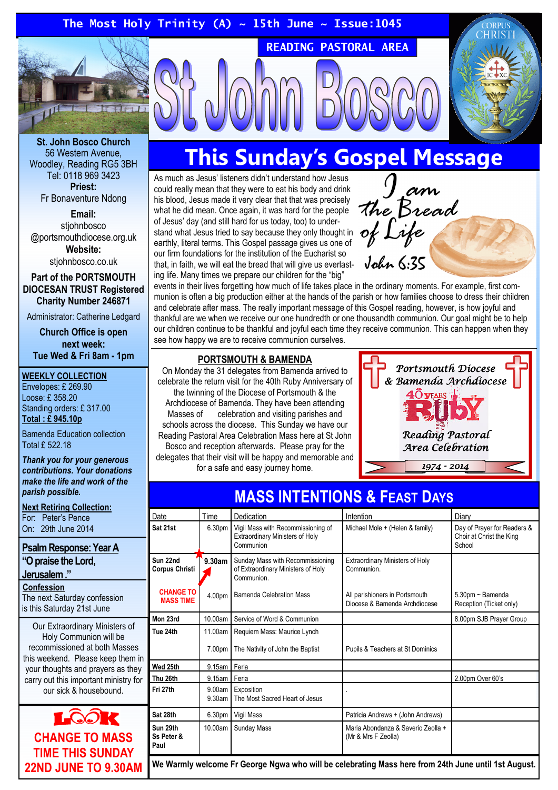

St. John Bosco Church 56 Western Avenue, Woodley, Reading RG5 3BH Tel: 0118 969 3423 Priest:

Fr Bonaventure Ndong

Email: stiohnbosco @portsmouthdiocese.org.uk Website:

stjohnbosco.co.uk

#### Part of the PORTSMOUTH DIOCESAN TRUST Registered Charity Number 246871

Administrator: Catherine Ledgard

Church Office is open next week: Tue Wed & Fri 8am - 1pm

#### WEEKLY COLLECTION

Envelopes: £ 269.90 Loose: £ 358.20 Standing orders: £ 317.00 Total : £ 945.10p

Bamenda Education collection Total £ 522.18

Thank you for your generous contributions. Your donations make the life and work of the parish possible.

Next Retiring Collection: For: Peter's Pence

On: 29th June 2014

## Psalm Response: Year A

"O praise the Lord,

Jerusalem ."

**Confession** The next Saturday confession

is this Saturday 21st June

Our Extraordinary Ministers of Holy Communion will be recommissioned at both Masses this weekend. Please keep them in your thoughts and prayers as they carry out this important ministry for our sick & housebound.



# This Sunday's Gospel Message

READING PASTORAL AREA

As much as Jesus' listeners didn't understand how Jesus could really mean that they were to eat his body and drink his blood, Jesus made it very clear that that was precisely what he did mean. Once again, it was hard for the people of Jesus' day (and still hard for us today, too) to understand what Jesus tried to say because they only thought in earthly, literal terms. This Gospel passage gives us one of our firm foundations for the institution of the Eucharist so that, in faith, we will eat the bread that will give us everlasting life. Many times we prepare our children for the "big"



events in their lives forgetting how much of life takes place in the ordinary moments. For example, first communion is often a big production either at the hands of the parish or how families choose to dress their children and celebrate after mass. The really important message of this Gospel reading, however, is how joyful and thankful are we when we receive our one hundredth or one thousandth communion. Our goal might be to help our children continue to be thankful and joyful each time they receive communion. This can happen when they see how happy we are to receive communion ourselves.

## PORTSMOUTH & BAMENDA

On Monday the 31 delegates from Bamenda arrived to celebrate the return visit for the 40th Ruby Anniversary of the twinning of the Diocese of Portsmouth & the Archdiocese of Bamenda. They have been attending Masses of celebration and visiting parishes and schools across the diocese. This Sunday we have our Reading Pastoral Area Celebration Mass here at St John Bosco and reception afterwards. Please pray for the delegates that their visit will be happy and memorable and for a safe and easy journey home.  $1974 - 2014$ 



| <del>יירעס ופון אי טווטוויים וויום פ</del> |                  |                                                                                      |                                                                 |                                                                   |
|--------------------------------------------|------------------|--------------------------------------------------------------------------------------|-----------------------------------------------------------------|-------------------------------------------------------------------|
| Date                                       | Time             | Dedication                                                                           | Intention                                                       | Diary                                                             |
| Sat 21st                                   | 6.30pm           | Vigil Mass with Recommissioning of<br>Extraordinary Ministers of Holy<br>Communion   | Michael Mole + (Helen & family)                                 | Day of Prayer for Readers &<br>Choir at Christ the King<br>School |
| Sun 22nd<br><b>Corpus Christi</b>          | 9.30am           | Sunday Mass with Recommissioning<br>of Extraordinary Ministers of Holy<br>Communion. | <b>Extraordinary Ministers of Holy</b><br>Communion             |                                                                   |
| <b>CHANGE TO</b><br><b>MASS TIME</b>       | 4.00pm           | Bamenda Celebration Mass                                                             | All parishioners in Portsmouth<br>Diocese & Bamenda Archdiocese | 5.30pm ~ Bamenda<br>Reception (Ticket only)                       |
| Mon 23rd                                   | 10.00am          | Service of Word & Communion                                                          |                                                                 | 8.00pm SJB Prayer Group                                           |
| Tue 24th                                   | 11.00am          | Requiem Mass: Maurice Lynch                                                          |                                                                 |                                                                   |
|                                            | 7.00pm           | The Nativity of John the Baptist                                                     | Pupils & Teachers at St Dominics                                |                                                                   |
| Wed 25th                                   | 9.15am   Feria   |                                                                                      |                                                                 |                                                                   |
| Thu 26th                                   | 9.15am           | Feria                                                                                |                                                                 | 2.00pm Over 60's                                                  |
| Fri 27th                                   | 9.00am<br>9.30am | Exposition<br>The Most Sacred Heart of Jesus                                         |                                                                 |                                                                   |
| Sat 28th                                   | 6.30pm           | Vigil Mass                                                                           | Patricia Andrews + (John Andrews)                               |                                                                   |
| Sun 29th<br>Ss Peter &<br>Paul             | 10.00am          | <b>Sunday Mass</b>                                                                   | Maria Abondanza & Saverio Zeolla +<br>(Mr & Mrs F Zeolla)       |                                                                   |

## MASS INTENTIONS & FEAST DAYS

We Warmly welcome Fr George Ngwa who will be celebrating Mass here from 24th June until 1st August.